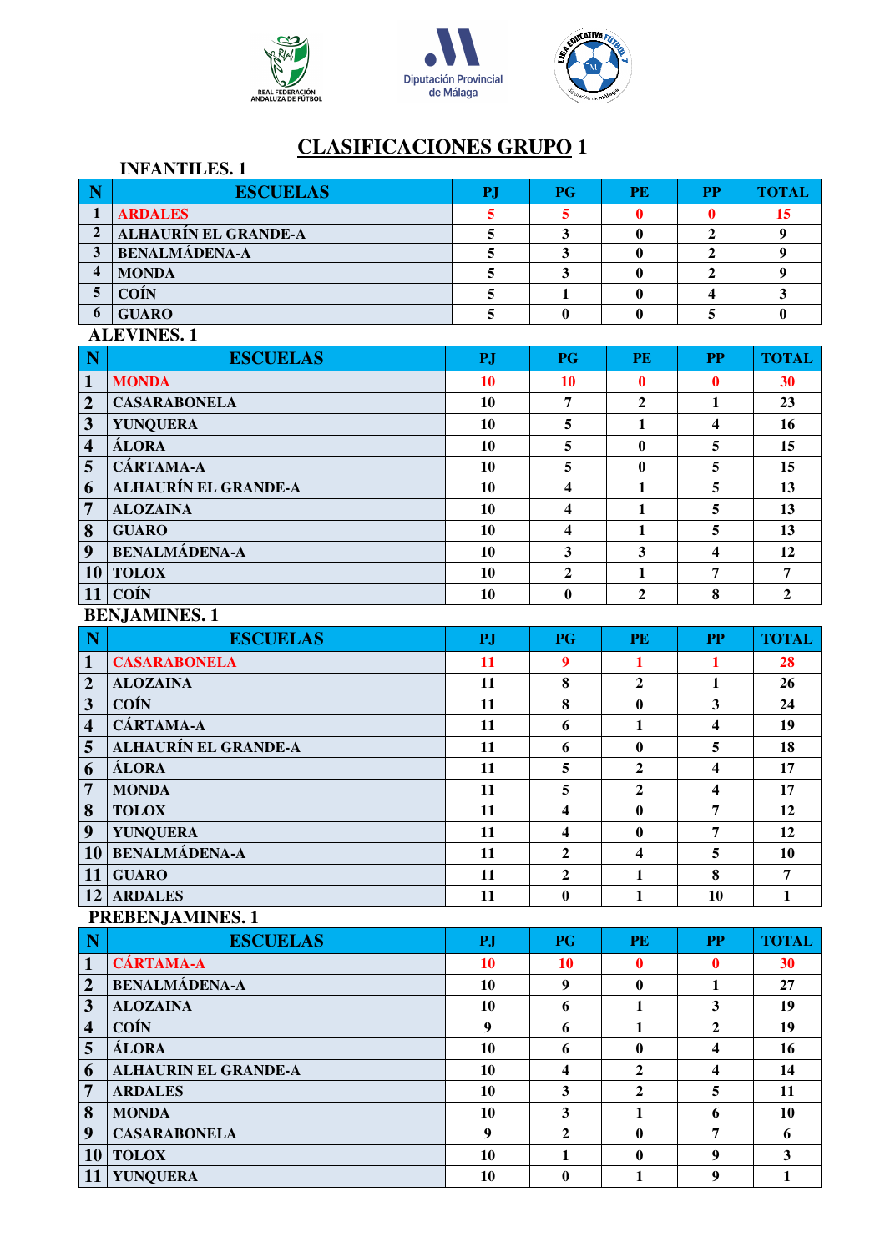





|                            | <b>INFANTILES.1</b>         |           |                         |                  |                         |                         |
|----------------------------|-----------------------------|-----------|-------------------------|------------------|-------------------------|-------------------------|
| $\overline{\phantom{a}}$ N | <b>ESCUELAS</b>             | <b>PJ</b> | <b>PG</b>               | <b>PE</b>        | <b>PP</b>               | <b>TOTAL</b>            |
| $\mathbf{1}$               | <b>ARDALES</b>              | 5         | 5                       | 0                | $\mathbf 0$             | 15                      |
| $\overline{2}$             | ALHAURÍN EL GRANDE-A        | 5         | $\mathbf{3}$            | $\bf{0}$         | $\mathbf{2}$            | $\boldsymbol{9}$        |
| $\mathbf{3}$               | <b>BENALMÁDENA-A</b>        | 5         | $\mathbf{3}$            | $\bf{0}$         | $\overline{2}$          | $\boldsymbol{9}$        |
| $\overline{\mathbf{4}}$    | <b>MONDA</b>                | 5         | $\mathbf{3}$            | $\bf{0}$         | $\mathbf{2}$            | $\boldsymbol{9}$        |
| 5                          | <b>COÍN</b>                 | 5         | $\mathbf{1}$            | $\bf{0}$         | 4                       | $\mathbf{3}$            |
| 6                          | <b>GUARO</b>                | 5         | $\bf{0}$                | 0                | 5                       | $\mathbf{0}$            |
|                            | <b>ALEVINES. 1</b>          |           |                         |                  |                         |                         |
| N                          | <b>ESCUELAS</b>             | PJ        | <b>PG</b>               | <b>PE</b>        | <b>PP</b>               | <b>TOTAL</b>            |
| $\mathbf{1}$               | <b>MONDA</b>                | <b>10</b> | <b>10</b>               | $\mathbf 0$      | $\bf{0}$                | 30                      |
| $\overline{\mathbf{2}}$    | <b>CASARABONELA</b>         | <b>10</b> | $\overline{7}$          | $\boldsymbol{2}$ | $\mathbf{1}$            | 23                      |
| $\overline{\mathbf{3}}$    | <b>YUNQUERA</b>             | 10        | 5                       | $\mathbf{1}$     | $\overline{\mathbf{4}}$ | 16                      |
| $\overline{\mathbf{4}}$    | ÁLORA                       | 10        | 5                       | $\bf{0}$         | 5                       | 15                      |
| $\overline{5}$             | <b>CÁRTAMA-A</b>            | 10        | 5                       | $\bf{0}$         | 5                       | 15                      |
| 6                          | <b>ALHAURÍN EL GRANDE-A</b> | <b>10</b> | 4                       | $\mathbf{1}$     | 5                       | 13                      |
| $\overline{7}$             | <b>ALOZAINA</b>             | 10        | $\overline{\mathbf{4}}$ | $\mathbf{1}$     | 5                       | 13                      |
| 8                          | <b>GUARO</b>                | <b>10</b> | $\overline{\mathbf{4}}$ | 1                | 5                       | 13                      |
| 9                          | <b>BENALMÁDENA-A</b>        | 10        | 3                       | $\mathbf{3}$     | $\overline{\mathbf{4}}$ | 12                      |
|                            | $10$ TOLOX                  | 10        | $\mathbf{2}$            | $\mathbf{1}$     | 7                       | 7                       |
| 11                         | COÍN                        | 10        | $\bf{0}$                | $\overline{2}$   | 8                       | $\overline{2}$          |
|                            | <b>BENJAMINES. 1</b>        |           |                         |                  |                         |                         |
| $\mathbf N$                | <b>ESCUELAS</b>             | PJ        | <b>PG</b>               | <b>PE</b>        | <b>PP</b>               | <b>TOTAL</b>            |
| $\mathbf{1}$               | <b>CASARABONELA</b>         | <b>11</b> | 9                       | 1                | 1                       | 28                      |
| $\overline{2}$             | <b>ALOZAINA</b>             | 11        | 8                       | $\boldsymbol{2}$ | $\mathbf{1}$            | 26                      |
| $\mathbf{3}$               | <b>COÍN</b>                 | 11        | 8                       | $\bf{0}$         | $\mathbf{3}$            | 24                      |
| $\overline{\bf{4}}$        | <b>CÁRTAMA-A</b>            | 11        | 6                       | 1                | 4                       | 19                      |
| 5                          | <b>ALHAURÍN EL GRANDE-A</b> | 11        | 6                       | $\bf{0}$         | 5                       | 18                      |
| 6                          | ÁLORA                       | 11        | 5                       | $\overline{2}$   | $\overline{\mathbf{4}}$ | 17                      |
| $\overline{7}$             | <b>MONDA</b>                | 11        | 5                       | $\overline{2}$   | $\overline{\mathbf{4}}$ | 17                      |
| 8                          | <b>TOLOX</b>                | 11        | $\overline{\mathbf{4}}$ | $\bf{0}$         | 7                       | 12                      |
| $\boldsymbol{9}$           | <b>YUNQUERA</b>             | 11        | $\overline{\mathbf{4}}$ | $\boldsymbol{0}$ | 7                       | 12                      |
|                            | 10 BENALMÁDENA-A            | 11        | $\overline{2}$          | 4                | 5                       | 10                      |
|                            | $11$ GUARO                  | 11        | $\overline{2}$          | $\mathbf{1}$     | 8                       | $\overline{7}$          |
|                            | 12 ARDALES                  | 11        | $\bf{0}$                | $\mathbf{1}$     | 10                      | $\mathbf{1}$            |
|                            | PREBENJAMINES. 1            |           |                         |                  |                         |                         |
| $\mathbf N$                | <b>ESCUELAS</b>             | PJ        | <b>PG</b>               | <b>PE</b>        | $\bf PP$                | <b>TOTAL</b>            |
| $\mathbf{1}$               | <b>CÁRTAMA-A</b>            | <b>10</b> | <b>10</b>               | 0                | $\bf{0}$                | 30                      |
| $\boldsymbol{2}$           | <b>BENALMÁDENA-A</b>        | 10        | $\boldsymbol{9}$        | $\bf{0}$         | $\mathbf{1}$            | 27                      |
| $\mathbf{3}$               | <b>ALOZAINA</b>             | 10        | 6                       | $\mathbf{1}$     | $\mathbf{3}$            | 19                      |
| $\overline{\mathbf{4}}$    | <b>COÍN</b>                 | 9         | 6                       | 1                | $\overline{2}$          | 19                      |
| $\overline{5}$             | <b>ÁLORA</b>                | 10        | 6                       | $\bf{0}$         | $\overline{\mathbf{4}}$ | 16                      |
| 6                          | <b>ALHAURIN EL GRANDE-A</b> | 10        | $\overline{\mathbf{4}}$ | $\overline{2}$   | $\overline{\mathbf{4}}$ | 14                      |
| $\overline{7}$             | <b>ARDALES</b>              | 10        | $\mathbf{3}$            | $\overline{2}$   | 5                       | 11                      |
| $\boldsymbol{8}$           | <b>MONDA</b>                | 10        | $\mathbf{3}$            | $\mathbf{1}$     | 6                       | 10                      |
| 9                          | <b>CASARABONELA</b>         | 9         | $\overline{2}$          | $\bf{0}$         | $\overline{7}$          | 6                       |
|                            | $10$ TOLOX                  | 10        | $\mathbf{1}$            | $\bf{0}$         | $\boldsymbol{9}$        | $\overline{\mathbf{3}}$ |
| 11                         | <b>YUNQUERA</b>             | 10        | $\boldsymbol{0}$        | $\mathbf{1}$     | $\boldsymbol{9}$        | $\mathbf{1}$            |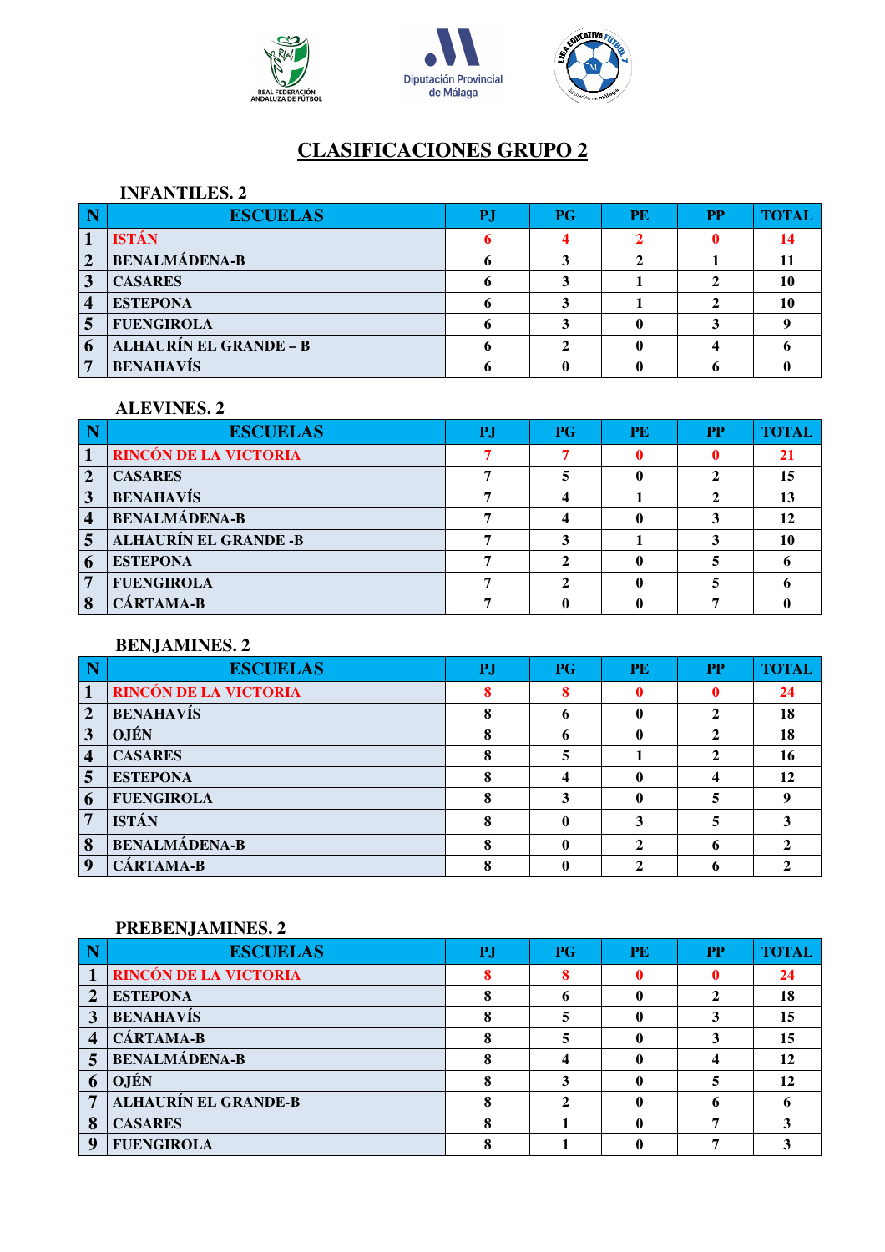



## **INFANTILES. 2**

|   | <b>ESCUELAS</b>               | $P$ G | <b>PE</b> | <b>PP</b> | <b>TOTAL</b> |
|---|-------------------------------|-------|-----------|-----------|--------------|
|   | <b>ISTÁN</b>                  |       |           |           |              |
| 2 | <b>BENALMÁDENA-B</b>          |       |           |           |              |
|   | <b>CASARES</b>                |       |           |           |              |
| 4 | <b>ESTEPONA</b>               |       |           |           |              |
|   | <b>FUENGIROLA</b>             |       |           |           |              |
| 6 | <b>ALHAURÍN EL GRANDE - B</b> |       |           |           |              |
|   | <b>BENAHAVÍS</b>              |       |           |           |              |

#### **ALEVINES. 2**

|                | <b>ESCUELAS</b>              | P. | P G | <b>PE</b> | <b>PP</b> | <b>TOTAL</b> |
|----------------|------------------------------|----|-----|-----------|-----------|--------------|
|                | <b>RINCÓN DE LA VICTORIA</b> |    |     |           |           |              |
|                | <b>CASARES</b>               |    |     |           |           |              |
| 3              | <b>BENAHAVÍS</b>             |    |     |           |           |              |
| 4              | <b>BENALMÁDENA-B</b>         |    |     |           |           |              |
| $\overline{5}$ | <b>ALHAURÍN EL GRANDE -B</b> |    |     |           |           |              |
| 6              | <b>ESTEPONA</b>              |    |     |           |           |              |
| 7              | <b>FUENGIROLA</b>            |    |     |           |           |              |
|                | CÁRTAMA-B                    |    |     |           |           |              |

# **BENJAMINES. 2**

|                  | <b>ESCUELAS</b>       | P. | P G | <b>PE</b> | <b>PP</b> | <b>TOTAL</b> |
|------------------|-----------------------|----|-----|-----------|-----------|--------------|
|                  | RINCÓN DE LA VICTORIA |    |     |           |           | 24           |
| $\overline{2}$   | <b>BENAHAVÍS</b>      |    |     | 0         |           | 18           |
| 3                | <b>OJÉN</b>           |    |     | 0         |           | 18           |
| $\boldsymbol{4}$ | <b>CASARES</b>        |    |     |           |           | 16           |
| 5                | <b>ESTEPONA</b>       |    |     | ı         |           | 12           |
| 6                | <b>FUENGIROLA</b>     |    |     |           |           |              |
| 7                | <b>ISTÁN</b>          |    |     |           |           |              |
| 8                | <b>BENALMÁDENA-B</b>  |    |     |           |           |              |
| Q                | CÁRTAMA-B             |    |     |           |           |              |

|              | <b>ESCUELAS</b>              | P. | <b>PG</b> | <b>PE</b> | <b>PP</b> | <b>TOTAI</b> |
|--------------|------------------------------|----|-----------|-----------|-----------|--------------|
|              | <b>RINCÓN DE LA VICTORIA</b> |    |           |           |           | 24           |
| 2            | <b>ESTEPONA</b>              |    |           |           |           | 18           |
| 3            | <b>BENAHAVÍS</b>             |    |           | 0         |           | 15           |
|              | <b>CÁRTAMA-B</b>             |    |           |           |           | 15           |
| 5            | <b>BENALMÁDENA-B</b>         |    |           | 0         |           | 12           |
| $\mathbf{v}$ | <b>OJÉN</b>                  |    |           |           |           | 12           |
|              | ALHAURÍN EL GRANDE-B         |    |           |           |           |              |
| 8            | <b>CASARES</b>               |    |           |           |           |              |
| g            | <b>FUENGIROLA</b>            |    |           |           |           |              |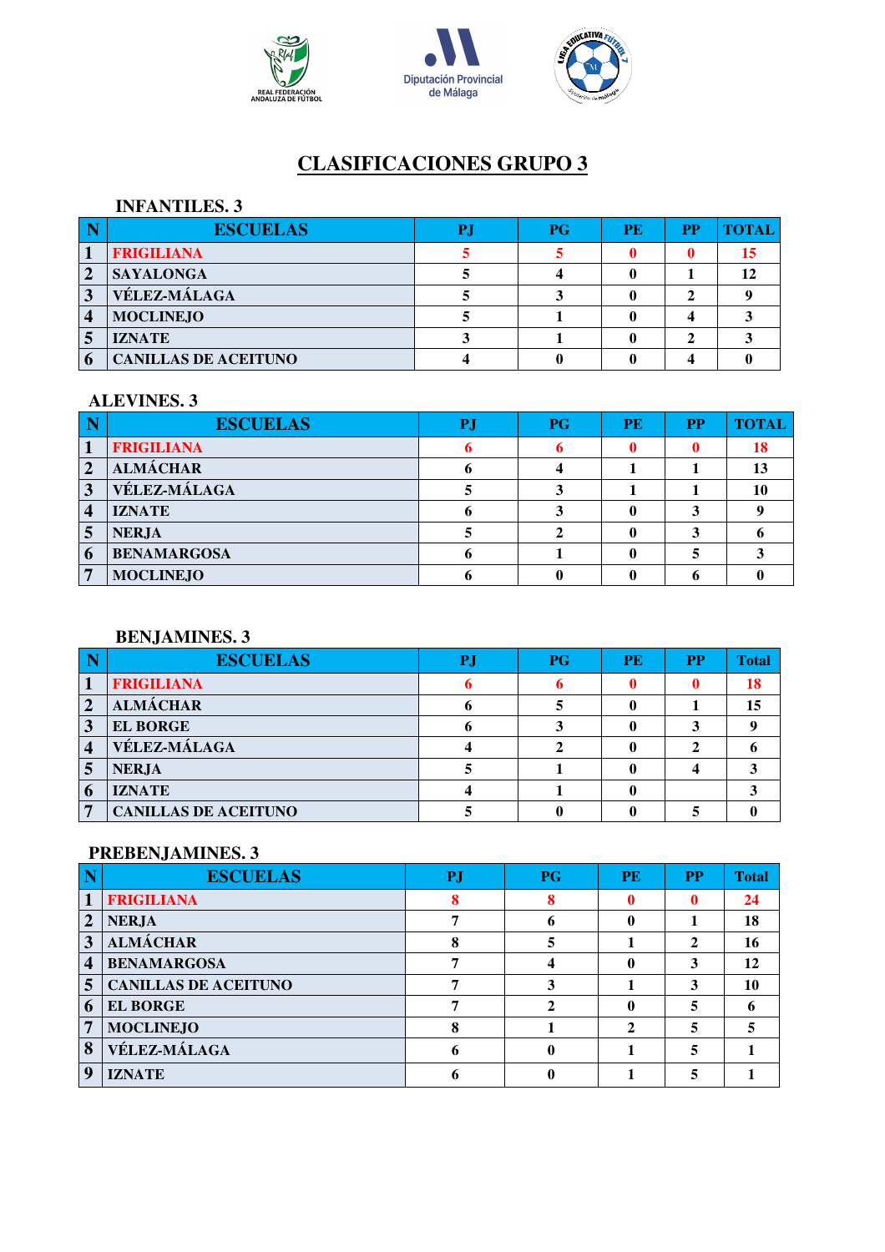





#### **INFANTILES. 3**

|   | <b>ESCUELAS</b>             | <b>PG</b> | <b>PE</b> | <b>PP</b> |  |
|---|-----------------------------|-----------|-----------|-----------|--|
|   | <b>FRIGILIANA</b>           |           |           |           |  |
| 2 | <b>SAYALONGA</b>            |           |           |           |  |
| 3 | <b>VÉLEZ-MÁLAGA</b>         |           |           |           |  |
| 4 | <b>MOCLINEJO</b>            |           |           |           |  |
|   | <b>IZNATE</b>               |           |           |           |  |
|   | <b>CANILLAS DE ACEITUNO</b> |           |           |           |  |

#### **ALEVINES. 3**

|   | <b>ESCUELAS</b>    | P. | <b>PG</b> | PE | <b>PP</b> | <b>TOTAL</b> |
|---|--------------------|----|-----------|----|-----------|--------------|
|   | <b>FRIGILIANA</b>  |    |           |    |           | 18           |
|   | <b>ALMÁCHAR</b>    |    |           |    |           |              |
|   | VÉLEZ-MÁLAGA       |    |           |    |           |              |
|   | <b>IZNATE</b>      |    |           |    |           |              |
|   | <b>NERJA</b>       |    |           |    |           |              |
| 6 | <b>BENAMARGOSA</b> |    |           |    |           |              |
|   | <b>MOCLINEJO</b>   |    |           |    |           |              |

## **BENJAMINES. 3**

|   | <b>ESCUELAS</b>             | P.I | P G | <b>PE</b> | <b>PP</b> | <b>Total</b> |
|---|-----------------------------|-----|-----|-----------|-----------|--------------|
|   | <b>FRIGILIANA</b>           |     |     |           |           | 18           |
| 2 | <b>ALMÁCHAR</b>             |     |     |           |           | 15           |
|   | <b>EL BORGE</b>             |     |     |           |           |              |
| 4 | <b>VÉLEZ-MÁLAGA</b>         |     |     |           |           |              |
|   | <b>NERJA</b>                |     |     |           |           |              |
| 6 | <b>IZNATE</b>               |     |     |           |           |              |
|   | <b>CANILLAS DE ACEITUNO</b> |     |     |           |           |              |

|                    | <b>ESCUELAS</b>             | P.J | <b>PG</b> | <b>PE</b> | <b>PP</b> | <b>Total</b> |
|--------------------|-----------------------------|-----|-----------|-----------|-----------|--------------|
|                    | <b>FRIGILIANA</b>           |     |           |           | 0         | 24           |
| $\mathbf{2}$       | <b>NERJA</b>                |     |           |           |           | 18           |
| 3                  | <b>ALMÁCHAR</b>             | Ω   |           |           | 2         | 16           |
| $\overline{\bf 4}$ | <b>BENAMARGOSA</b>          |     |           |           | 3         | 12           |
| 5 <sup>5</sup>     | <b>CANILLAS DE ACEITUNO</b> |     |           |           | 3         | 10           |
| 6                  | <b>EL BORGE</b>             |     |           |           | 5         |              |
| 7                  | <b>MOCLINEJO</b>            | Ω   |           |           | 5         |              |
| 8                  | VÉLEZ-MÁLAGA                |     |           |           | 5         |              |
| 9                  | <b>IZNATE</b>               |     |           |           |           |              |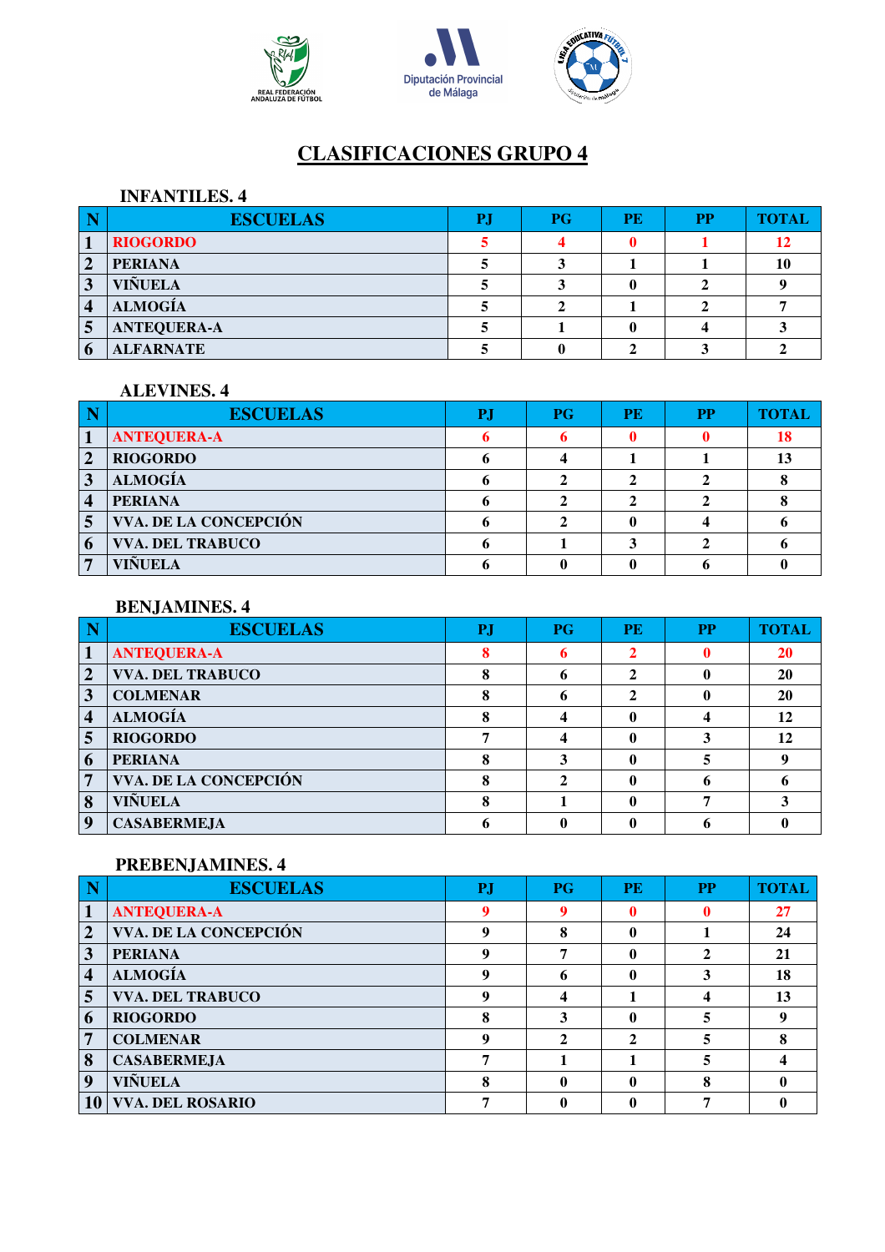



#### **INFANTILES. 4**

| <b>ESCUELAS</b>    | P. | P G | <b>PE</b> | <b>PP</b> | <b>TOTAI</b> |
|--------------------|----|-----|-----------|-----------|--------------|
| <b>RIOGORDO</b>    |    |     |           |           |              |
| <b>PERIANA</b>     |    |     |           |           |              |
| <b>VIÑUELA</b>     |    |     |           |           |              |
| <b>ALMOGÍA</b>     |    |     |           |           |              |
| <b>ANTEQUERA-A</b> |    |     |           |           |              |
| <b>ALFARNATE</b>   |    |     |           |           |              |

# **ALEVINES. 4**

| <b>ESCUELAS</b>         | P. | P G | <b>PE</b> | <b>PP</b> | TOTAI |
|-------------------------|----|-----|-----------|-----------|-------|
| <b>ANTEQUERA-A</b>      |    |     |           |           | 18    |
| <b>RIOGORDO</b>         |    |     |           |           |       |
| <b>ALMOGÍA</b>          |    |     |           |           |       |
| <b>PERIANA</b>          |    |     |           |           |       |
| VVA. DE LA CONCEPCIÓN   |    |     |           |           |       |
| <b>VVA. DEL TRABUCO</b> |    |     |           |           |       |
| <b>VIÑUELA</b>          |    |     |           |           |       |

#### **BENJAMINES. 4**

|                | <b>ESCUELAS</b>         | <b>PJ</b> | <b>PG</b> | <b>PE</b> | <b>PP</b> | <b>TOTAL</b> |
|----------------|-------------------------|-----------|-----------|-----------|-----------|--------------|
|                | <b>ANTEQUERA-A</b>      |           |           | ◠         |           | 20           |
| $\overline{2}$ | <b>VVA. DEL TRABUCO</b> |           | n         | 2         |           | 20           |
| 3              | <b>COLMENAR</b>         |           |           | ኅ         |           | 20           |
| 4              | <b>ALMOGÍA</b>          |           |           |           |           | 12           |
| 5              | <b>RIOGORDO</b>         |           |           | 0         |           | 12           |
| 6              | <b>PERIANA</b>          |           |           | 0         |           |              |
| 7              | VVA. DE LA CONCEPCIÓN   |           |           | 0         |           |              |
| 8              | <b>VIÑUELA</b>          |           |           |           |           |              |
| 9              | <b>CASABERMEJA</b>      |           |           |           |           |              |

|                | <b>ESCUELAS</b>         | P.          | <b>PG</b>    | <b>PE</b>    | <b>PP</b> | <b>TOTAL</b> |
|----------------|-------------------------|-------------|--------------|--------------|-----------|--------------|
|                | <b>ANTEQUERA-A</b>      | o           |              | 0            |           | 27           |
| $\overline{2}$ | VVA. DE LA CONCEPCIÓN   |             | 8            | 0            |           | 24           |
| 3              | <b>PERIANA</b>          |             |              | 0            |           | 21           |
| 4              | <b>ALMOGÍA</b>          | Q           |              | 0            |           | 18           |
| 5              | <b>VVA. DEL TRABUCO</b> |             |              |              |           | 13           |
| 6              | <b>RIOGORDO</b>         |             |              | 0            |           |              |
| 7              | <b>COLMENAR</b>         | $\mathbf o$ | $\mathbf{2}$ | $\mathbf{2}$ | 5         |              |
| 8              | <b>CASABERMEJA</b>      |             |              |              | 5         |              |
| 9              | VIÑUELA                 |             |              | 0            | O<br>Ω    |              |
| 10             | <b>VVA. DEL ROSARIO</b> |             |              |              |           |              |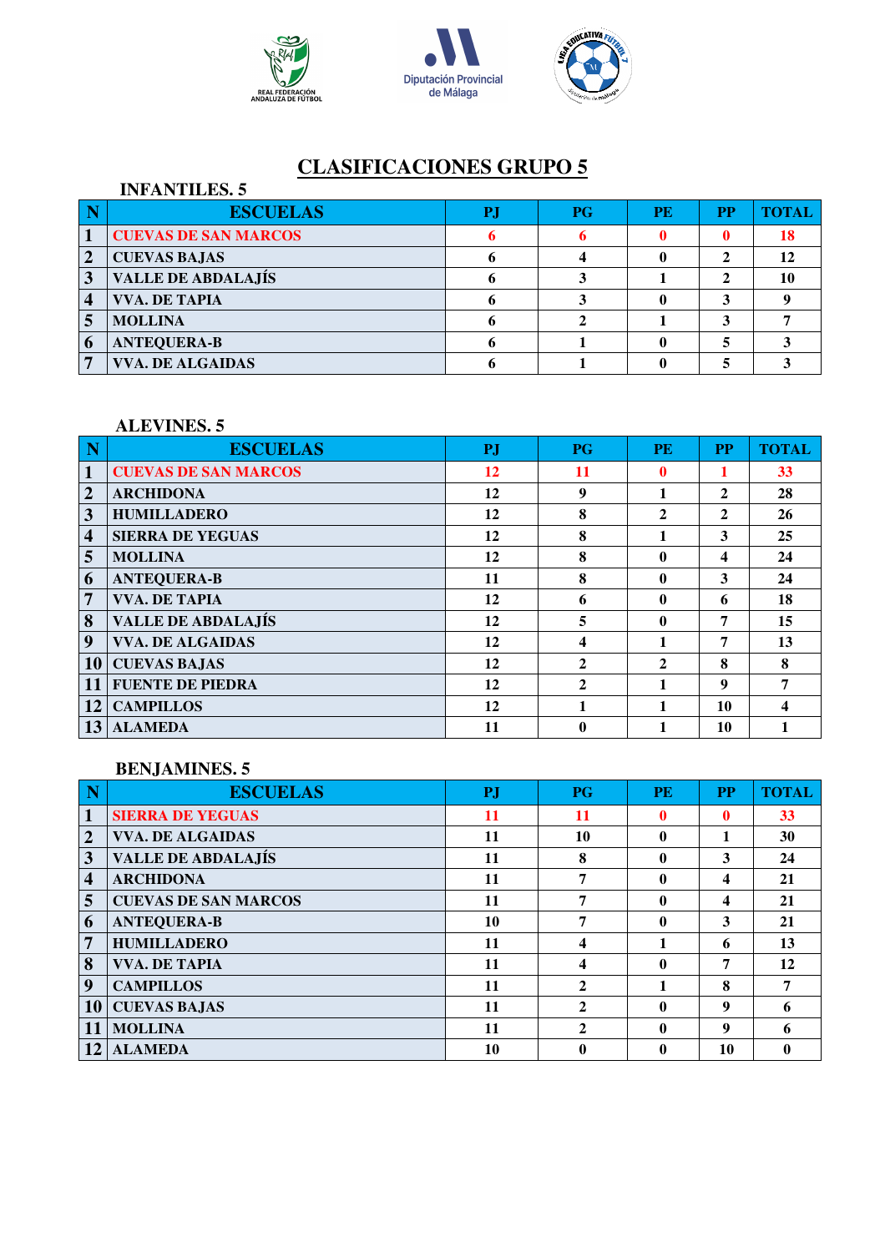





|                | <b>INFANTILES. 5</b>        |    |           |    |           |       |
|----------------|-----------------------------|----|-----------|----|-----------|-------|
|                | <b>ESCUELAS</b>             | P. | <b>PG</b> | PE | <b>PP</b> | TOTAL |
|                | <b>CUEVAS DE SAN MARCOS</b> |    |           |    |           | 18    |
| $\overline{2}$ | <b>CUEVAS BAJAS</b>         |    |           |    |           | 12    |
|                | <b>VALLE DE ABDALAJÍS</b>   |    |           |    |           |       |
| 4              | <b>VVA. DE TAPIA</b>        |    |           |    |           |       |
|                | <b>MOLLINA</b>              |    |           |    |           |       |
| 6              | <b>ANTEQUERA-B</b>          |    |           |    |           |       |
|                | <b>VVA. DE ALGAIDAS</b>     |    |           |    |           |       |

# **ALEVINES. 5**

|                 | <b>ESCUELAS</b>             | <b>PJ</b> | <b>PG</b>      | <b>PE</b>    | <b>PP</b>    | <b>TOTAL</b> |
|-----------------|-----------------------------|-----------|----------------|--------------|--------------|--------------|
| $\mathbf{1}$    | <b>CUEVAS DE SAN MARCOS</b> | 12        | 11             | 0            |              | 33           |
| $\overline{2}$  | <b>ARCHIDONA</b>            | 12        | 9              | 1            | 2            | 28           |
| 3               | <b>HUMILLADERO</b>          | 12        | 8              | $\mathbf{2}$ | $\mathbf{2}$ | 26           |
| 4               | <b>SIERRA DE YEGUAS</b>     | 12        | 8              |              | 3            | 25           |
| 5               | <b>MOLLINA</b>              | 12        | 8              | 0            | 4            | 24           |
| 6               | <b>ANTEQUERA-B</b>          | 11        | 8              | $\mathbf{0}$ | 3            | 24           |
| 7               | <b>VVA. DE TAPIA</b>        | 12        | 6              | $\mathbf{0}$ | 6            | 18           |
| 8               | <b>VALLE DE ABDALAJÍS</b>   | 12        | 5              | $\mathbf{0}$ | 7            | 15           |
| 9               | <b>VVA. DE ALGAIDAS</b>     | 12        | 4              |              | 7            | 13           |
| 10 <sup>1</sup> | <b>CUEVAS BAJAS</b>         | 12        | $\mathbf{2}$   | $\mathbf{2}$ | 8            | 8            |
| 11              | <b>FUENTE DE PIEDRA</b>     | 12        | $\overline{2}$ |              | 9            | 7            |
| 12              | <b>CAMPILLOS</b>            | 12        | 1              | 1            | 10           |              |
|                 | <b>ALAMEDA</b>              | 11        | 0              |              | 10           |              |

#### **BENJAMINES. 5**

| N                       | <b>ESCUELAS</b>             | <b>PJ</b> | <b>PG</b>    | <b>PE</b>        | <b>PP</b>    | <b>TOTAL</b> |
|-------------------------|-----------------------------|-----------|--------------|------------------|--------------|--------------|
|                         | <b>SIERRA DE YEGUAS</b>     | 11        | 11           | 0                | $\mathbf{0}$ | 33           |
| $\overline{2}$          | <b>VVA. DE ALGAIDAS</b>     | 11        | 10           | $\boldsymbol{0}$ |              | 30           |
| 3                       | <b>VALLE DE ABDALAJÍS</b>   | 11        | 8            | 0                | 3            | 24           |
| $\overline{\mathbf{4}}$ | <b>ARCHIDONA</b>            | 11        | 7            | 0                | 4            | 21           |
| 5                       | <b>CUEVAS DE SAN MARCOS</b> | 11        | 7            | $\mathbf 0$      | 4            | 21           |
| 6                       | <b>ANTEQUERA-B</b>          | 10        | 7            | $\mathbf{0}$     | 3            | 21           |
| 7                       | <b>HUMILLADERO</b>          | 11        | 4            |                  | 6            | 13           |
| 8                       | <b>VVA. DE TAPIA</b>        | 11        | 4            | $\mathbf{0}$     | 7            | 12           |
| 9                       | <b>CAMPILLOS</b>            | 11        | $\mathbf{2}$ |                  | 8            |              |
| 10                      | <b>CUEVAS BAJAS</b>         | 11        | $\mathbf{2}$ | 0                | 9            | 6            |
| 11                      | <b>MOLLINA</b>              | 11        | $\mathbf{2}$ | $\mathbf{0}$     | 9            | 6            |
| 12                      | <b>ALAMEDA</b>              | 10        | 0            | 0                | 10           |              |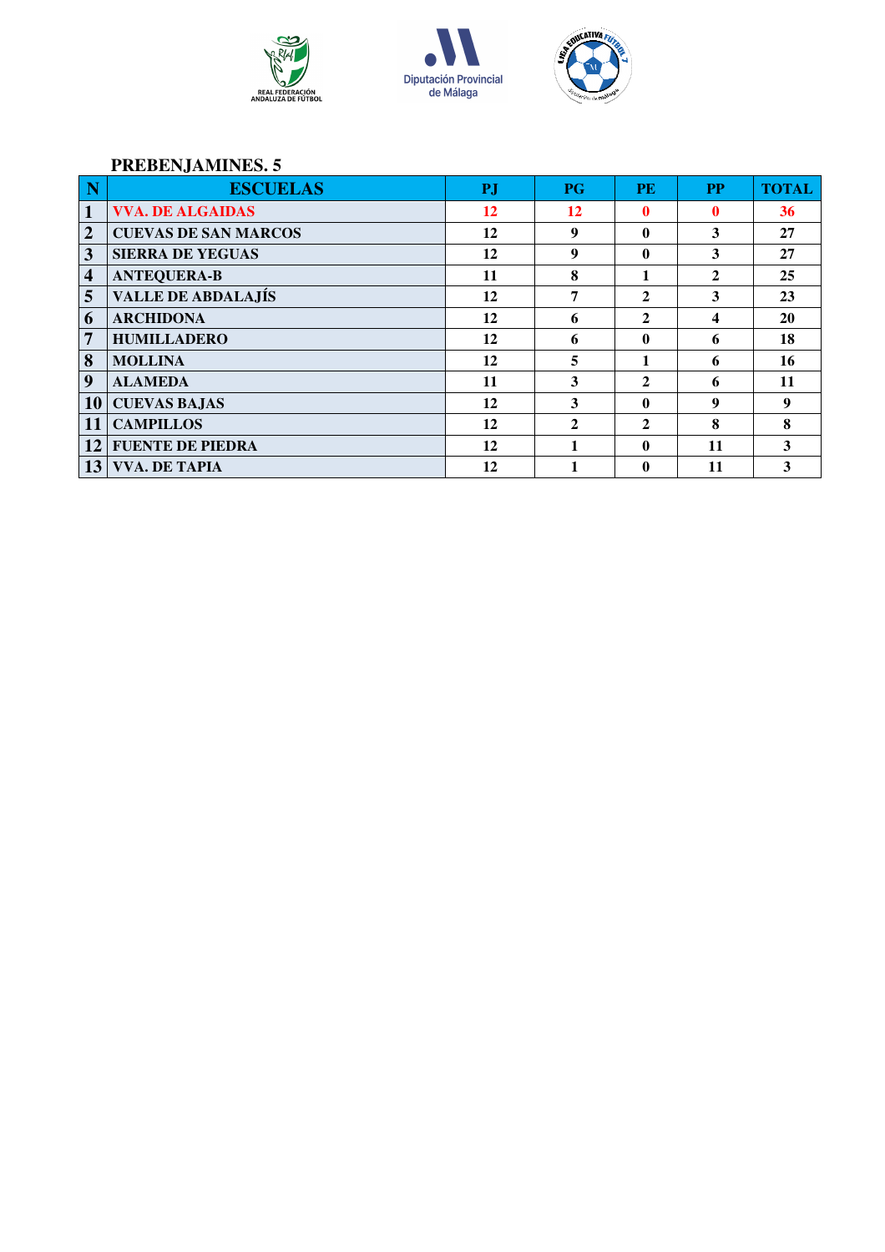





| N                       | <b>ESCUELAS</b>             | PJ | $P$ G | <b>PE</b>      | <b>PP</b>    | <b>TOTAL</b> |
|-------------------------|-----------------------------|----|-------|----------------|--------------|--------------|
| $\mathbf{1}$            | <b>VVA. DE ALGAIDAS</b>     | 12 | 12    | 0              | 0            | 36           |
| $\overline{2}$          | <b>CUEVAS DE SAN MARCOS</b> | 12 | 9     | 0              | 3            | 27           |
| $\overline{\mathbf{3}}$ | <b>SIERRA DE YEGUAS</b>     | 12 | 9     | 0              | 3            | 27           |
| $\overline{\mathbf{4}}$ | <b>ANTEQUERA-B</b>          | 11 | 8     |                | $\mathbf{2}$ | 25           |
| 5                       | <b>VALLE DE ABDALAJÍS</b>   | 12 | 7     | 2              | 3            | 23           |
| 6                       | <b>ARCHIDONA</b>            | 12 | 6     | $\overline{2}$ | 4            | 20           |
| 7                       | <b>HUMILLADERO</b>          | 12 | 6     | 0              | 6            | 18           |
| 8                       | <b>MOLLINA</b>              | 12 | 5     | 1              | 6            | 16           |
| 9                       | <b>ALAMEDA</b>              | 11 | 3     | $\mathbf{2}$   | 6            | 11           |
| 10 <sup>1</sup>         | <b>CUEVAS BAJAS</b>         | 12 | 3     | 0              | 9            | 9            |
| 11                      | <b>CAMPILLOS</b>            | 12 | 2     | $\mathbf{2}$   | 8            | 8            |
| 12                      | <b>FUENTE DE PIEDRA</b>     | 12 | 1     | 0              | 11           | 3            |
| 13                      | <b>VVA. DE TAPIA</b>        | 12 |       | 0              | 11           | 3            |